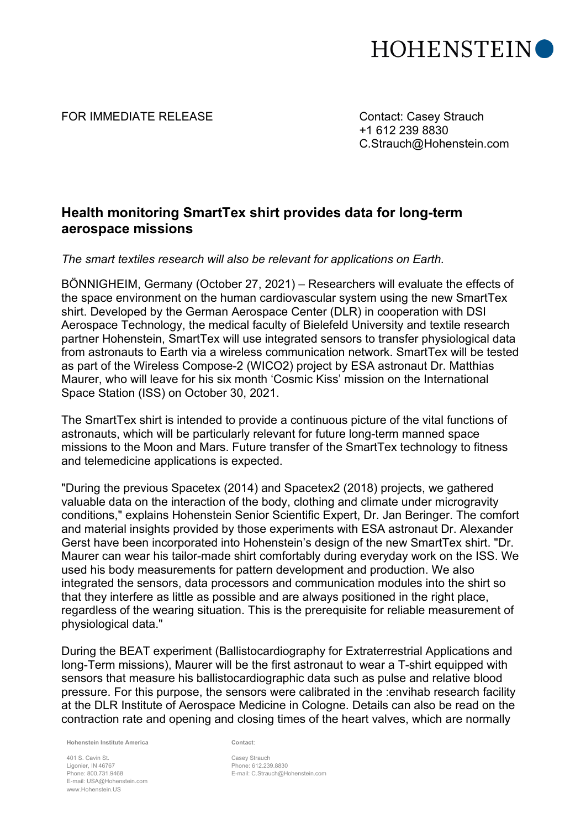

## FOR IMMEDIATE RELEASE CONTACT CONTACT: Casey Strauch

+1 612 239 8830 [C.Strauch@Hohenstein.com](mailto:C.Strauch@Hohenstein.com?subject=Press-Release)

## **Health monitoring SmartTex shirt provides data for long-term aerospace missions**

*The smart textiles research will also be relevant for applications on Earth.*

BÖNNIGHEIM, Germany (October 27, 2021) – Researchers will evaluate the effects of the space environment on the human cardiovascular system using the new SmartTex shirt. Developed by the German Aerospace Center (DLR) in cooperation with DSI Aerospace Technology, the medical faculty of Bielefeld University and textile research partner Hohenstein, SmartTex will use integrated sensors to transfer physiological data from astronauts to Earth via a wireless communication network. SmartTex will be tested as part of the Wireless Compose-2 (WICO2) project by ESA astronaut Dr. Matthias Maurer, who will leave for his six month 'Cosmic Kiss' mission on the International Space Station (ISS) on October 30, 2021.

The SmartTex shirt is intended to provide a continuous picture of the vital functions of astronauts, which will be particularly relevant for future long-term manned space missions to the Moon and Mars. Future transfer of the SmartTex technology to fitness and telemedicine applications is expected.

"During the previous Spacetex (2014) and Spacetex2 (2018) projects, we gathered valuable data on the interaction of the body, clothing and climate under microgravity conditions," explains Hohenstein Senior Scientific Expert, Dr. Jan Beringer. The comfort and material insights provided by those experiments with ESA astronaut Dr. Alexander Gerst have been incorporated into Hohenstein's design of the new SmartTex shirt. "Dr. Maurer can wear his tailor-made shirt comfortably during everyday work on the ISS. We used his body measurements for pattern development and production. We also integrated the sensors, data processors and communication modules into the shirt so that they interfere as little as possible and are always positioned in the right place, regardless of the wearing situation. This is the prerequisite for reliable measurement of physiological data."

During the BEAT experiment (Ballistocardiography for Extraterrestrial Applications and long-Term missions), Maurer will be the first astronaut to wear a T-shirt equipped with sensors that measure his ballistocardiographic data such as pulse and relative blood pressure. For this purpose, the sensors were calibrated in the :envihab research facility at the DLR Institute of Aerospace Medicine in Cologne. Details can also be read on the contraction rate and opening and closing times of the heart valves, which are normally

**Hohenstein Institute America**

401 S. Cavin St. Ligonier, IN 46767 Phone: 800.731.9468 E-mail: USA@Hohenstein.com www.Hohenstein.US

**Contact**:

Casey Strauch Phone: 612.239.8830 E-mail[: C.Strauch@Hohenstein.com](mailto:C.Strauch@hohenstein.com)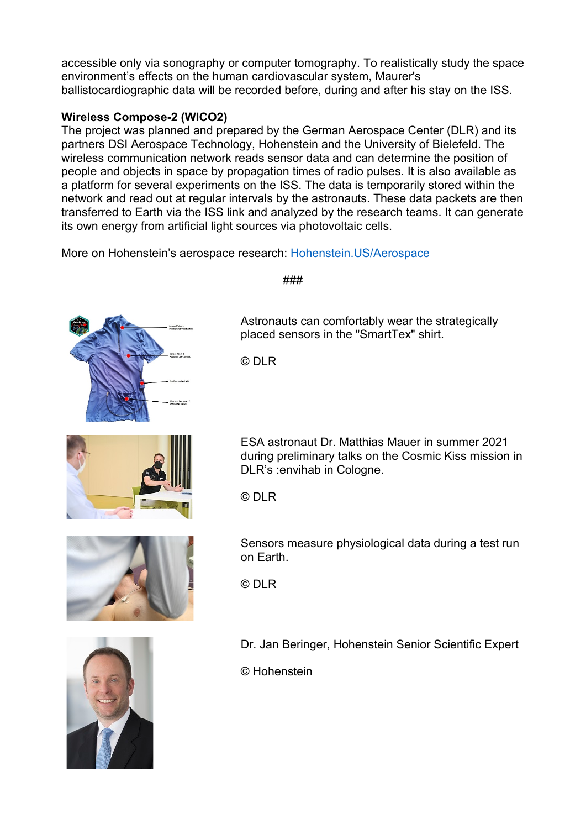accessible only via sonography or computer tomography. To realistically study the space environment's effects on the human cardiovascular system, Maurer's ballistocardiographic data will be recorded before, during and after his stay on the ISS.

## **Wireless Compose-2 (WICO2)**

The project was planned and prepared by the German Aerospace Center (DLR) and its partners DSI Aerospace Technology, Hohenstein and the University of Bielefeld. The wireless communication network reads sensor data and can determine the position of people and objects in space by propagation times of radio pulses. It is also available as a platform for several experiments on the ISS. The data is temporarily stored within the network and read out at regular intervals by the astronauts. These data packets are then transferred to Earth via the ISS link and analyzed by the research teams. It can generate its own energy from artificial light sources via photovoltaic cells.

More on Hohenstein's aerospace research: [Hohenstein.US/Aerospace](https://www.hohenstein.us/en-us/solutions/market/aerospace?utm_source=pr-us&utm_medium=link&utm_campaign=smarttex)







###

Astronauts can comfortably wear the strategically placed sensors in the "SmartTex" shirt.

© DLR

ESA astronaut Dr. Matthias Mauer in summer 2021 during preliminary talks on the Cosmic Kiss mission in DLR's :envihab in Cologne.

© DLR

Sensors measure physiological data during a test run on Earth.

© DLR

Dr. Jan Beringer, Hohenstein Senior Scientific Expert

© Hohenstein